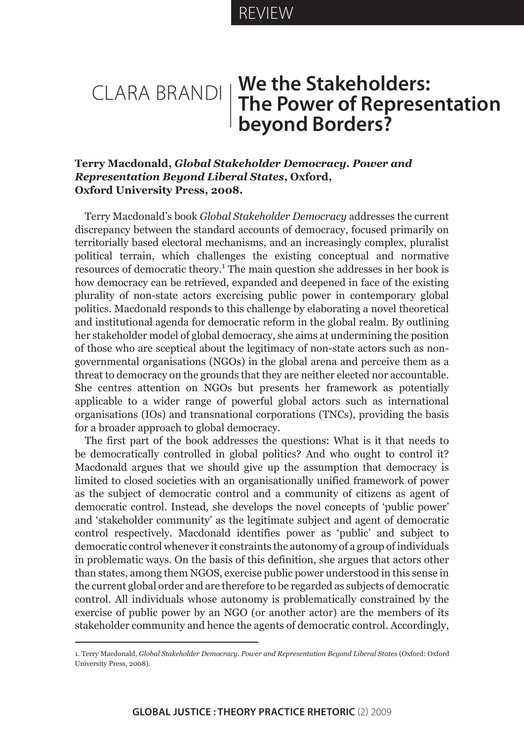# Clara Brandi **We the Stakeholders: The Power of Representation beyond Borders?**

## **Terry Macdonald,** *Global Stakeholder Democracy. Power and Representation Beyond Liberal States***, Oxford, Oxford University Press, 2008.**

Terry Macdonald's book *Global Stakeholder Democracy* addresses the current discrepancy between the standard accounts of democracy, focused primarily on territorially based electoral mechanisms, and an increasingly complex, pluralist political terrain, which challenges the existing conceptual and normative resources of democratic theory.<sup>1</sup> The main question she addresses in her book is how democracy can be retrieved, expanded and deepened in face of the existing plurality of non-state actors exercising public power in contemporary global politics. Macdonald responds to this challenge by elaborating a novel theoretical and institutional agenda for democratic reform in the global realm. By outlining her stakeholder model of global democracy, she aims at undermining the position of those who are sceptical about the legitimacy of non-state actors such as nongovernmental organisations (NGOs) in the global arena and perceive them as a threat to democracy on the grounds that they are neither elected nor accountable. She centres attention on NGOs but presents her framework as potentially applicable to a wider range of powerful global actors such as international organisations (IOs) and transnational corporations (TNCs), providing the basis for a broader approach to global democracy.

The first part of the book addresses the questions: What is it that needs to be democratically controlled in global politics? And who ought to control it? Macdonald argues that we should give up the assumption that democracy is limited to closed societies with an organisationally unified framework of power as the subject of democratic control and a community of citizens as agent of democratic control. Instead, she develops the novel concepts of 'public power' and 'stakeholder community' as the legitimate subject and agent of democratic control respectively. Macdonald identifies power as 'public' and subject to democratic control whenever it constraints the autonomy of a group of individuals in problematic ways. On the basis of this definition, she argues that actors other than states, among them NGOS, exercise public power understood in this sense in the current global order and are therefore to be regarded as subjects of democratic control. All individuals whose autonomy is problematically constrained by the exercise of public power by an NGO (or another actor) are the members of its stakeholder community and hence the agents of democratic control. Accordingly,

<sup>1.</sup> Terry Macdonald, *Global Stakeholder Democracy. Power and Representation Beyond Liberal States* (Oxford: Oxford University Press, 2008).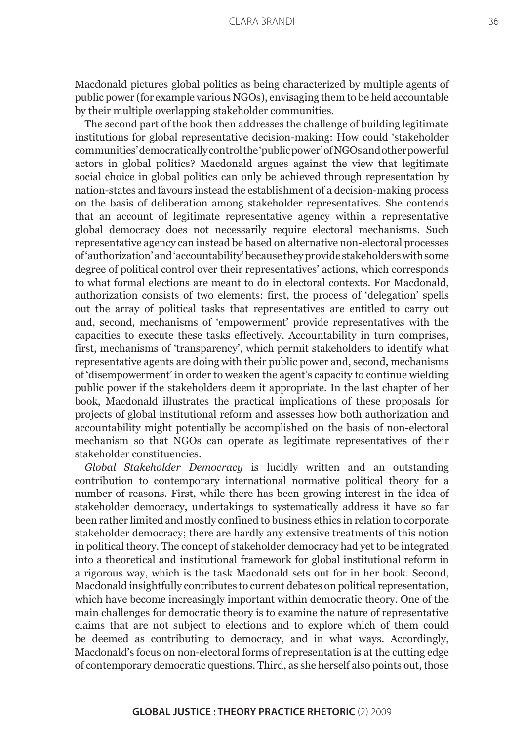Macdonald pictures global politics as being characterized by multiple agents of public power (for example various NGOs), envisaging them to be held accountable by their multiple overlapping stakeholder communities.

The second part of the book then addresses the challenge of building legitimate institutions for global representative decision-making: How could 'stakeholder communities' democratically control the 'public power' of NGOs and other powerful actors in global politics? Macdonald argues against the view that legitimate social choice in global politics can only be achieved through representation by nation-states and favours instead the establishment of a decision-making process on the basis of deliberation among stakeholder representatives. She contends that an account of legitimate representative agency within a representative global democracy does not necessarily require electoral mechanisms. Such representative agency can instead be based on alternative non-electoral processes of 'authorization' and 'accountability' because they provide stakeholders with some degree of political control over their representatives' actions, which corresponds to what formal elections are meant to do in electoral contexts. For Macdonald, authorization consists of two elements: first, the process of 'delegation' spells out the array of political tasks that representatives are entitled to carry out and, second, mechanisms of 'empowerment' provide representatives with the capacities to execute these tasks effectively. Accountability in turn comprises, first, mechanisms of 'transparency', which permit stakeholders to identify what representative agents are doing with their public power and, second, mechanisms of 'disempowerment' in order to weaken the agent's capacity to continue wielding public power if the stakeholders deem it appropriate. In the last chapter of her book, Macdonald illustrates the practical implications of these proposals for projects of global institutional reform and assesses how both authorization and accountability might potentially be accomplished on the basis of non-electoral mechanism so that NGOs can operate as legitimate representatives of their stakeholder constituencies.

*Global Stakeholder Democracy* is lucidly written and an outstanding contribution to contemporary international normative political theory for a number of reasons. First, while there has been growing interest in the idea of stakeholder democracy, undertakings to systematically address it have so far been rather limited and mostly confined to business ethics in relation to corporate stakeholder democracy; there are hardly any extensive treatments of this notion in political theory. The concept of stakeholder democracy had yet to be integrated into a theoretical and institutional framework for global institutional reform in a rigorous way, which is the task Macdonald sets out for in her book. Second, Macdonald insightfully contributes to current debates on political representation, which have become increasingly important within democratic theory. One of the main challenges for democratic theory is to examine the nature of representative claims that are not subject to elections and to explore which of them could be deemed as contributing to democracy, and in what ways. Accordingly, Macdonald's focus on non-electoral forms of representation is at the cutting edge of contemporary democratic questions. Third, as she herself also points out, those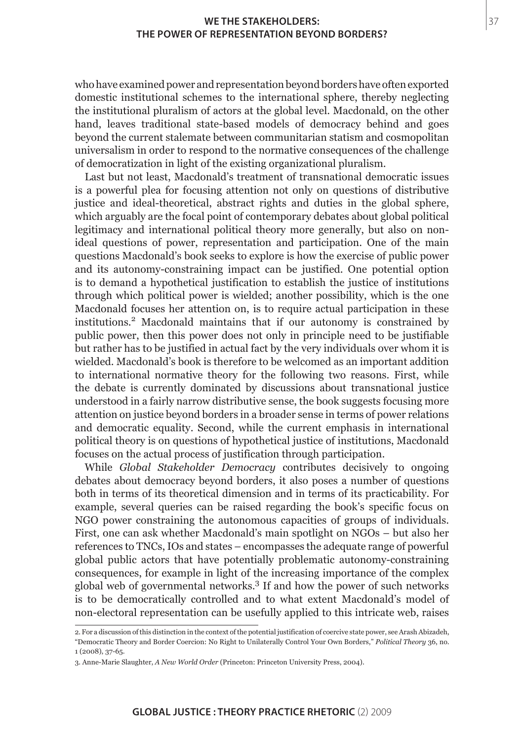### **We the Stakeholders: The Power of Representation beyond Borders?**

who have examined power and representation beyond borders have often exported domestic institutional schemes to the international sphere, thereby neglecting the institutional pluralism of actors at the global level. Macdonald, on the other hand, leaves traditional state-based models of democracy behind and goes beyond the current stalemate between communitarian statism and cosmopolitan universalism in order to respond to the normative consequences of the challenge of democratization in light of the existing organizational pluralism.

Last but not least, Macdonald's treatment of transnational democratic issues is a powerful plea for focusing attention not only on questions of distributive justice and ideal-theoretical, abstract rights and duties in the global sphere, which arguably are the focal point of contemporary debates about global political legitimacy and international political theory more generally, but also on nonideal questions of power, representation and participation. One of the main questions Macdonald's book seeks to explore is how the exercise of public power and its autonomy-constraining impact can be justified. One potential option is to demand a hypothetical justification to establish the justice of institutions through which political power is wielded; another possibility, which is the one Macdonald focuses her attention on, is to require actual participation in these institutions.<sup>2</sup> Macdonald maintains that if our autonomy is constrained by public power, then this power does not only in principle need to be justifiable but rather has to be justified in actual fact by the very individuals over whom it is wielded. Macdonald's book is therefore to be welcomed as an important addition to international normative theory for the following two reasons. First, while the debate is currently dominated by discussions about transnational justice understood in a fairly narrow distributive sense, the book suggests focusing more attention on justice beyond borders in a broader sense in terms of power relations and democratic equality. Second, while the current emphasis in international political theory is on questions of hypothetical justice of institutions, Macdonald focuses on the actual process of justification through participation.

While *Global Stakeholder Democracy* contributes decisively to ongoing debates about democracy beyond borders, it also poses a number of questions both in terms of its theoretical dimension and in terms of its practicability. For example, several queries can be raised regarding the book's specific focus on NGO power constraining the autonomous capacities of groups of individuals. First, one can ask whether Macdonald's main spotlight on NGOs – but also her references to TNCs, IOs and states – encompasses the adequate range of powerful global public actors that have potentially problematic autonomy-constraining consequences, for example in light of the increasing importance of the complex global web of governmental networks.<sup>3</sup> If and how the power of such networks is to be democratically controlled and to what extent Macdonald's model of non-electoral representation can be usefully applied to this intricate web, raises

37

<sup>2.</sup> For a discussion of this distinction in the context of the potential justification of coercive state power, see Arash Abizadeh, "Democratic Theory and Border Coercion: No Right to Unilaterally Control Your Own Borders," *Political Theory* 36, no. 1 (2008), 37-65.

<sup>3.</sup> Anne-Marie Slaughter, *A New World Order* (Princeton: Princeton University Press, 2004).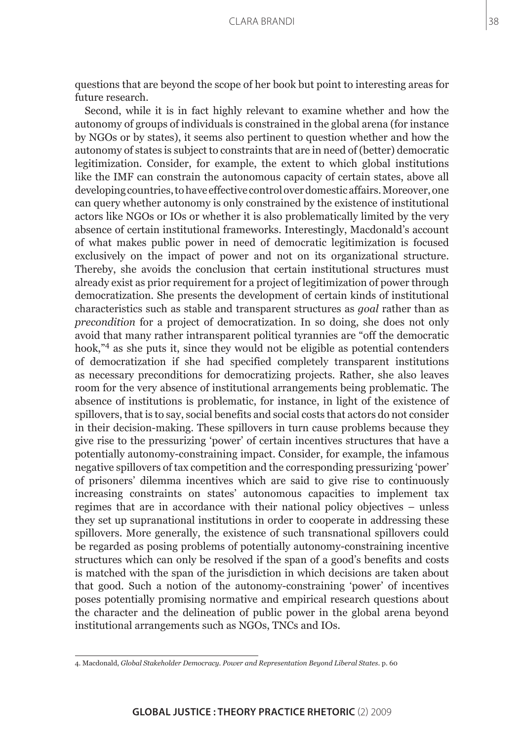questions that are beyond the scope of her book but point to interesting areas for future research.

Second, while it is in fact highly relevant to examine whether and how the autonomy of groups of individuals is constrained in the global arena (for instance by NGOs or by states), it seems also pertinent to question whether and how the autonomy of states is subject to constraints that are in need of (better) democratic legitimization. Consider, for example, the extent to which global institutions like the IMF can constrain the autonomous capacity of certain states, above all developing countries, to have effective control over domestic affairs. Moreover, one can query whether autonomy is only constrained by the existence of institutional actors like NGOs or IOs or whether it is also problematically limited by the very absence of certain institutional frameworks. Interestingly, Macdonald's account of what makes public power in need of democratic legitimization is focused exclusively on the impact of power and not on its organizational structure. Thereby, she avoids the conclusion that certain institutional structures must already exist as prior requirement for a project of legitimization of power through democratization. She presents the development of certain kinds of institutional characteristics such as stable and transparent structures as *goal* rather than as *precondition* for a project of democratization. In so doing, she does not only avoid that many rather intransparent political tyrannies are "off the democratic hook,"4 as she puts it, since they would not be eligible as potential contenders of democratization if she had specified completely transparent institutions as necessary preconditions for democratizing projects. Rather, she also leaves room for the very absence of institutional arrangements being problematic. The absence of institutions is problematic, for instance, in light of the existence of spillovers, that is to say, social benefits and social costs that actors do not consider in their decision-making. These spillovers in turn cause problems because they give rise to the pressurizing 'power' of certain incentives structures that have a potentially autonomy-constraining impact. Consider, for example, the infamous negative spillovers of tax competition and the corresponding pressurizing 'power' of prisoners' dilemma incentives which are said to give rise to continuously increasing constraints on states' autonomous capacities to implement tax regimes that are in accordance with their national policy objectives – unless they set up supranational institutions in order to cooperate in addressing these spillovers. More generally, the existence of such transnational spillovers could be regarded as posing problems of potentially autonomy-constraining incentive structures which can only be resolved if the span of a good's benefits and costs is matched with the span of the jurisdiction in which decisions are taken about that good. Such a notion of the autonomy-constraining 'power' of incentives poses potentially promising normative and empirical research questions about the character and the delineation of public power in the global arena beyond institutional arrangements such as NGOs, TNCs and IOs.

<sup>4.</sup> Macdonald, *Global Stakeholder Democracy. Power and Representation Beyond Liberal States*. p. 60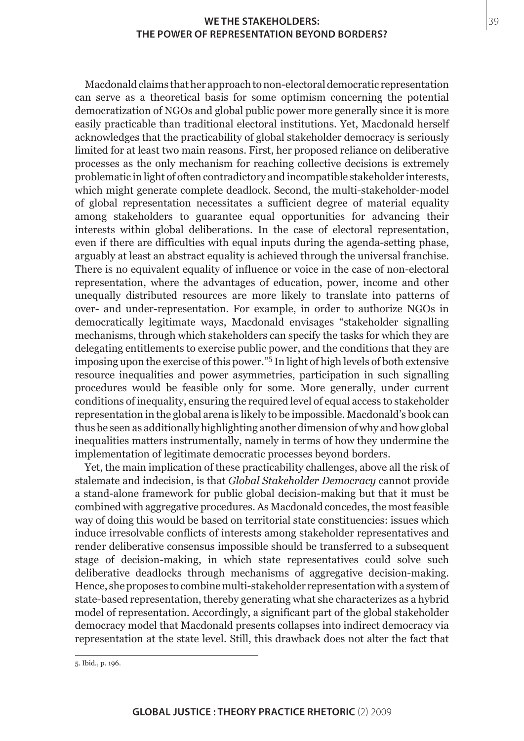#### **We the Stakeholders: The Power of Representation beyond Borders?**

Macdonald claims that her approach to non-electoral democratic representation can serve as a theoretical basis for some optimism concerning the potential democratization of NGOs and global public power more generally since it is more easily practicable than traditional electoral institutions. Yet, Macdonald herself acknowledges that the practicability of global stakeholder democracy is seriously limited for at least two main reasons. First, her proposed reliance on deliberative processes as the only mechanism for reaching collective decisions is extremely problematic in light of often contradictory and incompatible stakeholder interests, which might generate complete deadlock. Second, the multi-stakeholder-model of global representation necessitates a sufficient degree of material equality among stakeholders to guarantee equal opportunities for advancing their interests within global deliberations. In the case of electoral representation, even if there are difficulties with equal inputs during the agenda-setting phase, arguably at least an abstract equality is achieved through the universal franchise. There is no equivalent equality of influence or voice in the case of non-electoral representation, where the advantages of education, power, income and other unequally distributed resources are more likely to translate into patterns of over- and under-representation. For example, in order to authorize NGOs in democratically legitimate ways, Macdonald envisages "stakeholder signalling mechanisms, through which stakeholders can specify the tasks for which they are delegating entitlements to exercise public power, and the conditions that they are imposing upon the exercise of this power."<sup>5</sup> In light of high levels of both extensive resource inequalities and power asymmetries, participation in such signalling procedures would be feasible only for some. More generally, under current conditions of inequality, ensuring the required level of equal access to stakeholder representation in the global arena is likely to be impossible. Macdonald's book can thus be seen as additionally highlighting another dimension of why and how global inequalities matters instrumentally, namely in terms of how they undermine the implementation of legitimate democratic processes beyond borders.

Yet, the main implication of these practicability challenges, above all the risk of stalemate and indecision, is that *Global Stakeholder Democracy* cannot provide a stand-alone framework for public global decision-making but that it must be combined with aggregative procedures. As Macdonald concedes, the most feasible way of doing this would be based on territorial state constituencies: issues which induce irresolvable conflicts of interests among stakeholder representatives and render deliberative consensus impossible should be transferred to a subsequent stage of decision-making, in which state representatives could solve such deliberative deadlocks through mechanisms of aggregative decision-making. Hence, she proposes to combine multi-stakeholder representation with a system of state-based representation, thereby generating what she characterizes as a hybrid model of representation. Accordingly, a significant part of the global stakeholder democracy model that Macdonald presents collapses into indirect democracy via representation at the state level. Still, this drawback does not alter the fact that

<sup>5.</sup> Ibid., p. 196.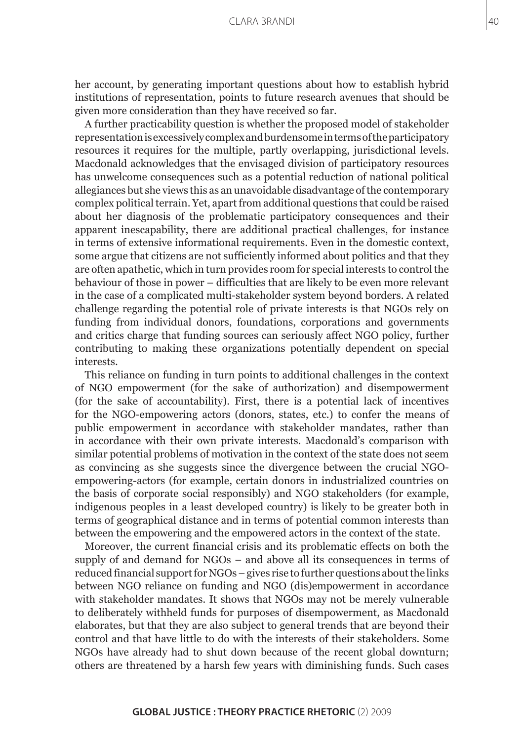her account, by generating important questions about how to establish hybrid institutions of representation, points to future research avenues that should be given more consideration than they have received so far.

A further practicability question is whether the proposed model of stakeholder representation is excessively complex and burdensome in terms of the participatory resources it requires for the multiple, partly overlapping, jurisdictional levels. Macdonald acknowledges that the envisaged division of participatory resources has unwelcome consequences such as a potential reduction of national political allegiances but she views this as an unavoidable disadvantage of the contemporary complex political terrain. Yet, apart from additional questions that could be raised about her diagnosis of the problematic participatory consequences and their apparent inescapability, there are additional practical challenges, for instance in terms of extensive informational requirements. Even in the domestic context, some argue that citizens are not sufficiently informed about politics and that they are often apathetic, which in turn provides room for special interests to control the behaviour of those in power – difficulties that are likely to be even more relevant in the case of a complicated multi-stakeholder system beyond borders. A related challenge regarding the potential role of private interests is that NGOs rely on funding from individual donors, foundations, corporations and governments and critics charge that funding sources can seriously affect NGO policy, further contributing to making these organizations potentially dependent on special interests.

This reliance on funding in turn points to additional challenges in the context of NGO empowerment (for the sake of authorization) and disempowerment (for the sake of accountability). First, there is a potential lack of incentives for the NGO-empowering actors (donors, states, etc.) to confer the means of public empowerment in accordance with stakeholder mandates, rather than in accordance with their own private interests. Macdonald's comparison with similar potential problems of motivation in the context of the state does not seem as convincing as she suggests since the divergence between the crucial NGOempowering-actors (for example, certain donors in industrialized countries on the basis of corporate social responsibly) and NGO stakeholders (for example, indigenous peoples in a least developed country) is likely to be greater both in terms of geographical distance and in terms of potential common interests than between the empowering and the empowered actors in the context of the state.

Moreover, the current financial crisis and its problematic effects on both the supply of and demand for NGOs – and above all its consequences in terms of reduced financial support for NGOs – gives rise to further questions about the links between NGO reliance on funding and NGO (dis)empowerment in accordance with stakeholder mandates. It shows that NGOs may not be merely vulnerable to deliberately withheld funds for purposes of disempowerment, as Macdonald elaborates, but that they are also subject to general trends that are beyond their control and that have little to do with the interests of their stakeholders. Some NGOs have already had to shut down because of the recent global downturn; others are threatened by a harsh few years with diminishing funds. Such cases